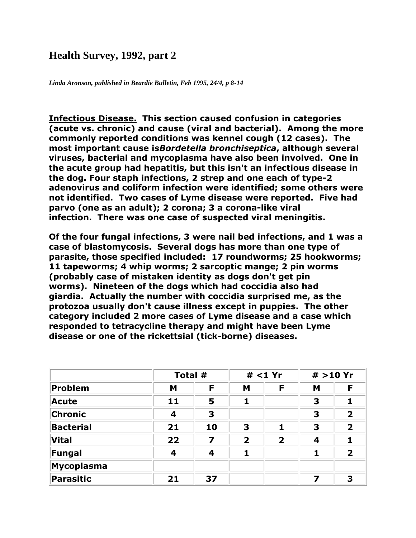## **Health Survey, 1992, part 2**

*Linda Aronson, published in Beardie Bulletin, Feb 1995, 24/4, p 8-14*

**Infectious Disease. This section caused confusion in categories (acute vs. chronic) and cause (viral and bacterial). Among the more commonly reported conditions was kennel cough (12 cases). The most important cause is***Bordetella bronchiseptica***, although several viruses, bacterial and mycoplasma have also been involved. One in the acute group had hepatitis, but this isn't an infectious disease in the dog. Four staph infections, 2 strep and one each of type-2 adenovirus and coliform infection were identified; some others were not identified. Two cases of Lyme disease were reported. Five had parvo (one as an adult); 2 corona; 3 a corona-like viral infection. There was one case of suspected viral meningitis.**

**Of the four fungal infections, 3 were nail bed infections, and 1 was a case of blastomycosis. Several dogs has more than one type of parasite, those specified included: 17 roundworms; 25 hookworms; 11 tapeworms; 4 whip worms; 2 sarcoptic mange; 2 pin worms (probably case of mistaken identity as dogs don't get pin worms). Nineteen of the dogs which had coccidia also had giardia. Actually the number with coccidia surprised me, as the protozoa usually don't cause illness except in puppies. The other category included 2 more cases of Lyme disease and a case which responded to tetracycline therapy and might have been Lyme disease or one of the rickettsial (tick-borne) diseases.**

|                   |                         | Total # |                         | # < 1 Yr                |   | # >10 Yr                |
|-------------------|-------------------------|---------|-------------------------|-------------------------|---|-------------------------|
| <b>Problem</b>    | M                       | F       | M                       | F                       | M | F                       |
| <b>Acute</b>      | 11                      | 5       | 1                       |                         | 3 |                         |
| Chronic           | $\overline{\mathbf{4}}$ | 3       |                         |                         | 3 | $\overline{\mathbf{2}}$ |
| <b>Bacterial</b>  | 21                      | 10      | 3                       | 1                       | 3 | $\overline{\mathbf{2}}$ |
| <b>Vital</b>      | 22                      | 7       | $\overline{\mathbf{2}}$ | $\overline{\mathbf{2}}$ | 4 |                         |
| Fungal            | 4                       | 4       | 1                       |                         | 1 | $\overline{\mathbf{2}}$ |
| <b>Mycoplasma</b> |                         |         |                         |                         |   |                         |
| <b>Parasitic</b>  | 21                      | 37      |                         |                         | 7 | 3                       |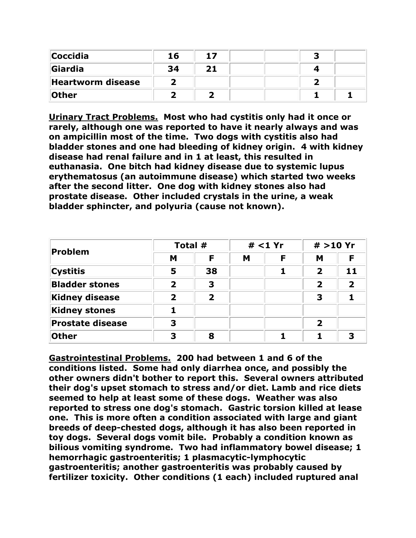| <b>Coccidia</b>   | 16 | 17 |  |  |
|-------------------|----|----|--|--|
| <b>Giardia</b>    | 34 | 21 |  |  |
| Heartworm disease |    |    |  |  |
| <b>Other</b>      |    |    |  |  |

**Urinary Tract Problems. Most who had cystitis only had it once or rarely, although one was reported to have it nearly always and was on ampicillin most of the time. Two dogs with cystitis also had bladder stones and one had bleeding of kidney origin. 4 with kidney disease had renal failure and in 1 at least, this resulted in euthanasia. One bitch had kidney disease due to systemic lupus erythematosus (an autoimmune disease) which started two weeks after the second litter. One dog with kidney stones also had prostate disease. Other included crystals in the urine, a weak bladder sphincter, and polyuria (cause not known).**

| Problem                 |              | Total #                 |   | $#$ <1 Yr |              | # > 10 Yr |  |
|-------------------------|--------------|-------------------------|---|-----------|--------------|-----------|--|
|                         | M            | F                       | M | Е         | M            |           |  |
| <b>Cystitis</b>         | 5            | 38                      |   |           | $\mathbf 2$  | 11        |  |
| <b>Bladder stones</b>   | 2            | 3                       |   |           | $\mathbf{2}$ | 2         |  |
| <b>Kidney disease</b>   | $\mathbf{z}$ | $\overline{\mathbf{2}}$ |   |           | 3            |           |  |
| <b>Kidney stones</b>    |              |                         |   |           |              |           |  |
| <b>Prostate disease</b> | З            |                         |   |           | 2            |           |  |
| <b>Other</b>            | 3            | 8                       |   |           |              | 3         |  |

**Gastrointestinal Problems. 200 had between 1 and 6 of the conditions listed. Some had only diarrhea once, and possibly the other owners didn't bother to report this. Several owners attributed their dog's upset stomach to stress and/or diet. Lamb and rice diets seemed to help at least some of these dogs. Weather was also reported to stress one dog's stomach. Gastric torsion killed at lease one. This is more often a condition associated with large and giant breeds of deep-chested dogs, although it has also been reported in toy dogs. Several dogs vomit bile. Probably a condition known as bilious vomiting syndrome. Two had inflammatory bowel disease; 1 hemorrhagic gastroenteritis; 1 plasmacytic-lymphocytic gastroenteritis; another gastroenteritis was probably caused by fertilizer toxicity. Other conditions (1 each) included ruptured anal**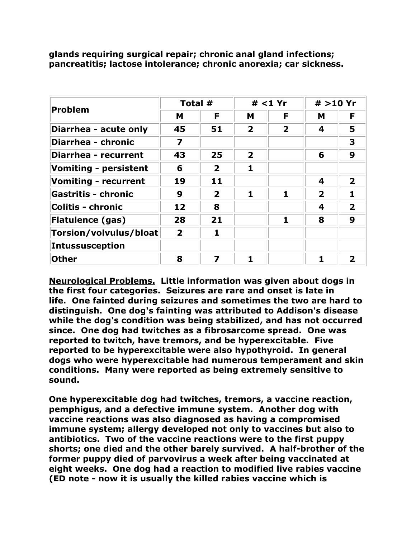| <b>Problem</b>               | Total #                 |                         | $#$ <1 Yr               |                         | # > 10 Yr               |                         |
|------------------------------|-------------------------|-------------------------|-------------------------|-------------------------|-------------------------|-------------------------|
|                              | M                       | F                       | М                       | F                       | M                       | F                       |
| Diarrhea - acute only        | 45                      | 51                      | $\overline{\mathbf{2}}$ | $\overline{\mathbf{2}}$ | 4                       | 5                       |
| Diarrhea - chronic           | $\overline{\mathbf{z}}$ |                         |                         |                         |                         | 3                       |
| <b>Diarrhea - recurrent</b>  | 43                      | 25                      | $\overline{2}$          |                         | 6                       | 9                       |
| <b>Vomiting - persistent</b> | 6                       | $\overline{\mathbf{2}}$ | 1                       |                         |                         |                         |
| <b>Vomiting - recurrent</b>  | 19                      | 11                      |                         |                         | 4                       | $\mathbf{2}$            |
| <b>Gastritis - chronic</b>   | 9                       | $\overline{2}$          | 1                       | 1                       | $\overline{\mathbf{2}}$ |                         |
| <b>Colitis - chronic</b>     | 12                      | 8                       |                         |                         | 4                       | $\overline{\mathbf{2}}$ |
| <b>Flatulence (gas)</b>      | 28                      | 21                      |                         | 1                       | 8                       | 9                       |
| Torsion/volvulus/bloat       | $\overline{2}$          | 1                       |                         |                         |                         |                         |
| Intussusception              |                         |                         |                         |                         |                         |                         |
| <b>Other</b>                 | 8                       | 7                       |                         |                         |                         | $\mathbf 2$             |

**glands requiring surgical repair; chronic anal gland infections; pancreatitis; lactose intolerance; chronic anorexia; car sickness.**

**Neurological Problems. Little information was given about dogs in the first four categories. Seizures are rare and onset is late in life. One fainted during seizures and sometimes the two are hard to distinguish. One dog's fainting was attributed to Addison's disease while the dog's condition was being stabilized, and has not occurred since. One dog had twitches as a fibrosarcome spread. One was reported to twitch, have tremors, and be hyperexcitable. Five reported to be hyperexcitable were also hypothyroid. In general dogs who were hyperexcitable had numerous temperament and skin conditions. Many were reported as being extremely sensitive to sound.** 

**One hyperexcitable dog had twitches, tremors, a vaccine reaction, pemphigus, and a defective immune system. Another dog with vaccine reactions was also diagnosed as having a compromised immune system; allergy developed not only to vaccines but also to antibiotics. Two of the vaccine reactions were to the first puppy shorts; one died and the other barely survived. A half-brother of the former puppy died of parvovirus a week after being vaccinated at eight weeks. One dog had a reaction to modified live rabies vaccine (ED note - now it is usually the killed rabies vaccine which is**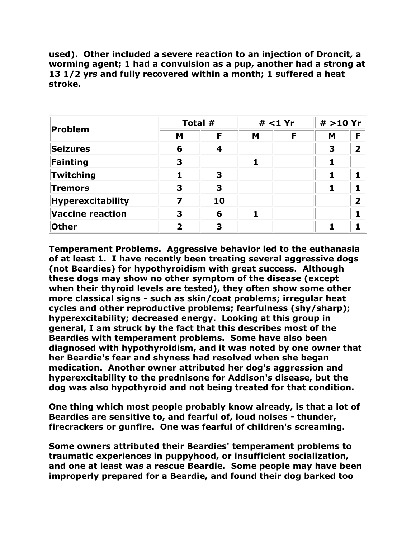**used). Other included a severe reaction to an injection of Droncit, a worming agent; 1 had a convulsion as a pup, another had a strong at 13 1/2 yrs and fully recovered within a month; 1 suffered a heat stroke.**

| <b>Problem</b>           | Total #                 |    | # < 1 Yr |   | # >10 Yr |                         |
|--------------------------|-------------------------|----|----------|---|----------|-------------------------|
|                          | M                       | F  | M        | F | M        | F                       |
| <b>Seizures</b>          | 6                       | 4  |          |   | 3        | $\overline{\mathbf{2}}$ |
| Fainting                 | 3                       |    | 1        |   |          |                         |
| Twitching                | 1                       | 3  |          |   |          |                         |
| <b>Tremors</b>           | 3                       | 3  |          |   |          |                         |
| <b>Hyperexcitability</b> | 7                       | 10 |          |   |          | $\overline{\mathbf{2}}$ |
| <b>Vaccine reaction</b>  | 3                       | 6  |          |   |          |                         |
| <b>Other</b>             | $\overline{\mathbf{2}}$ | 3  |          |   |          |                         |

**Temperament Problems. Aggressive behavior led to the euthanasia of at least 1. I have recently been treating several aggressive dogs (not Beardies) for hypothyroidism with great success. Although these dogs may show no other symptom of the disease (except when their thyroid levels are tested), they often show some other more classical signs - such as skin/coat problems; irregular heat cycles and other reproductive problems; fearfulness (shy/sharp); hyperexcitability; decreased energy. Looking at this group in general, I am struck by the fact that this describes most of the Beardies with temperament problems. Some have also been diagnosed with hypothyroidism, and it was noted by one owner that her Beardie's fear and shyness had resolved when she began medication. Another owner attributed her dog's aggression and hyperexcitability to the prednisone for Addison's disease, but the dog was also hypothyroid and not being treated for that condition.** 

**One thing which most people probably know already, is that a lot of Beardies are sensitive to, and fearful of, loud noises - thunder, firecrackers or gunfire. One was fearful of children's screaming.**

**Some owners attributed their Beardies' temperament problems to traumatic experiences in puppyhood, or insufficient socialization, and one at least was a rescue Beardie. Some people may have been improperly prepared for a Beardie, and found their dog barked too**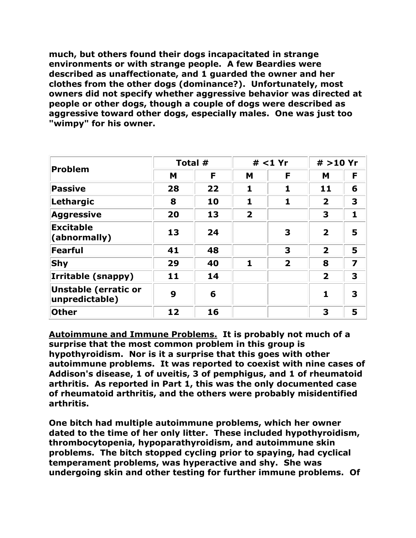**much, but others found their dogs incapacitated in strange environments or with strange people. A few Beardies were described as unaffectionate, and 1 guarded the owner and her clothes from the other dogs (dominance?). Unfortunately, most owners did not specify whether aggressive behavior was directed at people or other dogs, though a couple of dogs were described as aggressive toward other dogs, especially males. One was just too "wimpy" for his owner.**

| <b>Problem</b>                                | Total # |    | $#$ <1 Yr               |                         | # >10 Yr                |                         |
|-----------------------------------------------|---------|----|-------------------------|-------------------------|-------------------------|-------------------------|
|                                               | M       | F  | M                       | F                       | M                       | F                       |
| <b>Passive</b>                                | 28      | 22 | 1                       | 1                       | 11                      | 6                       |
| Lethargic                                     | 8       | 10 | 1                       | 1                       | $\overline{2}$          | 3                       |
| <b>Aggressive</b>                             | 20      | 13 | $\overline{\mathbf{2}}$ |                         | 3                       | 1                       |
| <b>Excitable</b><br>(abnormally)              | 13      | 24 |                         | 3                       | $\overline{\mathbf{2}}$ | 5                       |
| <b>Fearful</b>                                | 41      | 48 |                         | 3                       | $\overline{\mathbf{2}}$ | 5                       |
| Shy                                           | 29      | 40 | 1                       | $\overline{\mathbf{2}}$ | 8                       | $\overline{\mathbf{z}}$ |
| Irritable (snappy)                            | 11      | 14 |                         |                         | $\overline{\mathbf{2}}$ | 3                       |
| <b>Unstable (erratic or</b><br>unpredictable) | 9       | 6  |                         |                         |                         | 3                       |
| <b>Other</b>                                  | 12      | 16 |                         |                         | 3                       | 5                       |

**Autoimmune and Immune Problems. It is probably not much of a surprise that the most common problem in this group is hypothyroidism. Nor is it a surprise that this goes with other autoimmune problems. It was reported to coexist with nine cases of Addison's disease, 1 of uveitis, 3 of pemphigus, and 1 of rheumatoid arthritis. As reported in Part 1, this was the only documented case of rheumatoid arthritis, and the others were probably misidentified arthritis.** 

**One bitch had multiple autoimmune problems, which her owner dated to the time of her only litter. These included hypothyroidism, thrombocytopenia, hypoparathyroidism, and autoimmune skin problems. The bitch stopped cycling prior to spaying, had cyclical temperament problems, was hyperactive and shy. She was undergoing skin and other testing for further immune problems. Of**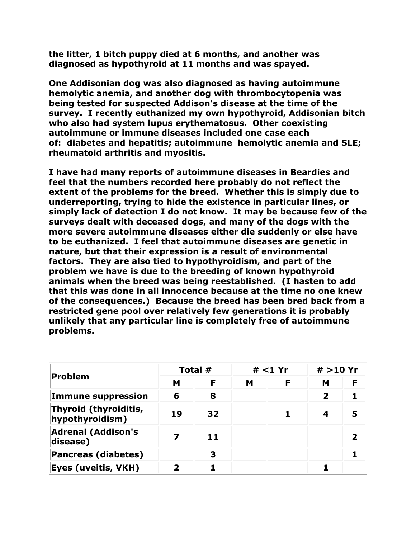**the litter, 1 bitch puppy died at 6 months, and another was diagnosed as hypothyroid at 11 months and was spayed.** 

**One Addisonian dog was also diagnosed as having autoimmune hemolytic anemia, and another dog with thrombocytopenia was being tested for suspected Addison's disease at the time of the survey. I recently euthanized my own hypothyroid, Addisonian bitch who also had system lupus erythematosus. Other coexisting autoimmune or immune diseases included one case each of: diabetes and hepatitis; autoimmune hemolytic anemia and SLE; rheumatoid arthritis and myositis.** 

**I have had many reports of autoimmune diseases in Beardies and feel that the numbers recorded here probably do not reflect the extent of the problems for the breed. Whether this is simply due to underreporting, trying to hide the existence in particular lines, or simply lack of detection I do not know. It may be because few of the surveys dealt with deceased dogs, and many of the dogs with the more severe autoimmune diseases either die suddenly or else have to be euthanized. I feel that autoimmune diseases are genetic in nature, but that their expression is a result of environmental factors. They are also tied to hypothyroidism, and part of the problem we have is due to the breeding of known hypothyroid animals when the breed was being reestablished. (I hasten to add that this was done in all innocence because at the time no one knew of the consequences.) Because the breed has been bred back from a restricted gene pool over relatively few generations it is probably unlikely that any particular line is completely free of autoimmune problems.**

| Problem                                  | Total #     |    | # < 1 Yr |   | # > 10 Yr |                         |
|------------------------------------------|-------------|----|----------|---|-----------|-------------------------|
|                                          | M           | F  | M        | F | м         | F                       |
| <b>Immune suppression</b>                | 6           | 8  |          |   | 2         |                         |
| Thyroid (thyroiditis,<br>hypothyroidism) | 19          | 32 |          |   |           | 5                       |
| <b>Adrenal (Addison's</b><br>disease)    |             | 11 |          |   |           | $\overline{\mathbf{2}}$ |
| <b>Pancreas (diabetes)</b>               |             | 3  |          |   |           |                         |
| Eyes (uveitis, VKH)                      | $\mathbf 2$ |    |          |   |           |                         |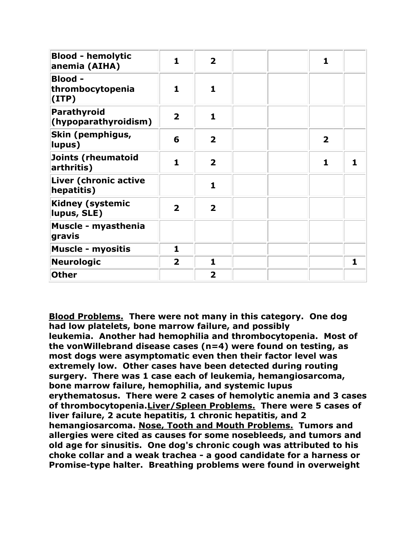| <b>Blood - hemolytic</b><br>anemia (AIHA)    | 1                       | $\overline{\mathbf{2}}$ |  | 1                       |   |
|----------------------------------------------|-------------------------|-------------------------|--|-------------------------|---|
| <b>Blood -</b><br>thrombocytopenia<br>(IIIP) | 1                       | $\mathbf{1}$            |  |                         |   |
| <b>Parathyroid</b><br>(hypoparathyroidism)   | $\overline{\mathbf{2}}$ | $\mathbf{1}$            |  |                         |   |
| Skin (pemphigus,<br>lupus)                   | 6                       | $\overline{\mathbf{2}}$ |  | $\overline{\mathbf{2}}$ |   |
| Joints (rheumatoid<br>arthritis)             | $\mathbf{1}$            | $\overline{2}$          |  | 1                       |   |
| Liver (chronic active<br>hepatitis)          |                         | $\mathbf{1}$            |  |                         |   |
| <b>Kidney (systemic</b><br>lupus, SLE)       | $\overline{\mathbf{2}}$ | $\overline{2}$          |  |                         |   |
| Muscle - myasthenia<br>gravis                |                         |                         |  |                         |   |
| <b>Muscle - myositis</b>                     | $\mathbf{1}$            |                         |  |                         |   |
| <b>Neurologic</b>                            | $\overline{\mathbf{2}}$ | $\mathbf{1}$            |  |                         | 1 |
| <b>Other</b>                                 |                         | $\overline{2}$          |  |                         |   |

**Blood Problems. There were not many in this category. One dog had low platelets, bone marrow failure, and possibly leukemia. Another had hemophilia and thrombocytopenia. Most of the vonWillebrand disease cases (n=4) were found on testing, as most dogs were asymptomatic even then their factor level was extremely low. Other cases have been detected during routing surgery. There was 1 case each of leukemia, hemangiosarcoma, bone marrow failure, hemophilia, and systemic lupus erythematosus. There were 2 cases of hemolytic anemia and 3 cases of thrombocytopenia.Liver/Spleen Problems. There were 5 cases of liver failure, 2 acute hepatitis, 1 chronic hepatitis, and 2 hemangiosarcoma. Nose, Tooth and Mouth Problems. Tumors and allergies were cited as causes for some nosebleeds, and tumors and old age for sinusitis. One dog's chronic cough was attributed to his choke collar and a weak trachea - a good candidate for a harness or Promise-type halter. Breathing problems were found in overweight**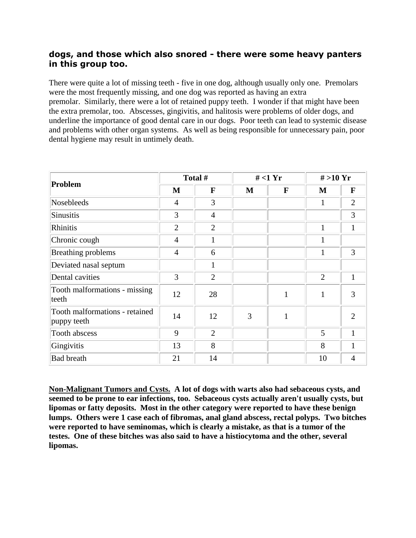## **dogs, and those which also snored - there were some heavy panters in this group too.**

There were quite a lot of missing teeth - five in one dog, although usually only one. Premolars were the most frequently missing, and one dog was reported as having an extra premolar. Similarly, there were a lot of retained puppy teeth. I wonder if that might have been the extra premolar, too. Abscesses, gingivitis, and halitosis were problems of older dogs, and underline the importance of good dental care in our dogs. Poor teeth can lead to systemic disease and problems with other organ systems. As well as being responsible for unnecessary pain, poor dental hygiene may result in untimely death.

| Problem                                       |                | Total #        | $#$ <1 Yr |              | $# >10$ Yr     |                |
|-----------------------------------------------|----------------|----------------|-----------|--------------|----------------|----------------|
|                                               | M              | F              | M         | F            | M              | $\mathbf F$    |
| <b>Nosebleeds</b>                             | $\overline{4}$ | 3              |           |              |                | $\overline{2}$ |
| Sinusitis                                     | 3              | $\overline{4}$ |           |              |                | 3              |
| Rhinitis                                      | $\overline{2}$ | $\overline{2}$ |           |              | $\mathbf{1}$   | 1              |
| Chronic cough                                 | $\overline{4}$ | $\mathbf{1}$   |           |              | $\mathbf{1}$   |                |
| Breathing problems                            | $\overline{4}$ | 6              |           |              | 1              | 3              |
| Deviated nasal septum                         |                | $\mathbf{1}$   |           |              |                |                |
| Dental cavities                               | 3              | $\overline{2}$ |           |              | $\overline{2}$ | 1              |
| Tooth malformations - missing<br>teeth        | 12             | 28             |           | $\mathbf{1}$ | $\mathbf{1}$   | 3              |
| Tooth malformations - retained<br>puppy teeth | 14             | 12             | 3         | $\mathbf{1}$ |                | $\overline{2}$ |
| Tooth abscess                                 | 9              | $\overline{2}$ |           |              | 5              | 1              |
| Gingivitis                                    | 13             | 8              |           |              | 8              | 1              |
| <b>Bad breath</b>                             | 21             | 14             |           |              | 10             | 4              |

**Non-Malignant Tumors and Cysts. A lot of dogs with warts also had sebaceous cysts, and seemed to be prone to ear infections, too. Sebaceous cysts actually aren't usually cysts, but lipomas or fatty deposits. Most in the other category were reported to have these benign lumps. Others were 1 case each of fibromas, anal gland abscess, rectal polyps. Two bitches were reported to have seminomas, which is clearly a mistake, as that is a tumor of the testes. One of these bitches was also said to have a histiocytoma and the other, several lipomas.**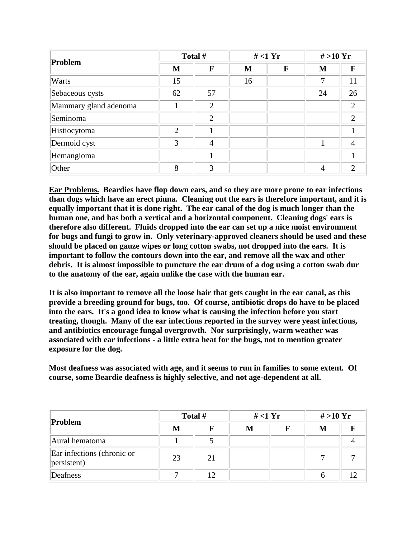| Problem               | Total # |                | $#$ <1 Yr |              | # > 10 Yr |                |
|-----------------------|---------|----------------|-----------|--------------|-----------|----------------|
|                       | M       | F              | M         | $\mathbf{F}$ | M         | F              |
| Warts                 | 15      |                | 16        |              | 7         | 11             |
| Sebaceous cysts       | 62      | 57             |           |              | 24        | 26             |
| Mammary gland adenoma |         | $\overline{2}$ |           |              |           | $\overline{2}$ |
| Seminoma              |         | $\overline{2}$ |           |              |           | $\overline{2}$ |
| Histiocytoma          | 2       |                |           |              |           |                |
| Dermoid cyst          | 3       | $\overline{4}$ |           |              |           | $\overline{4}$ |
| Hemangioma            |         |                |           |              |           |                |
| Other                 | 8       | 3              |           |              | 4         | $\overline{2}$ |

**Ear Problems. Beardies have flop down ears, and so they are more prone to ear infections than dogs which have an erect pinna. Cleaning out the ears is therefore important, and it is equally important that it is done right. The ear canal of the dog is much longer than the human one, and has both a vertical and a horizontal component. Cleaning dogs' ears is therefore also different. Fluids dropped into the ear can set up a nice moist environment for bugs and fungi to grow in. Only veterinary-approved cleaners should be used and these should be placed on gauze wipes or long cotton swabs, not dropped into the ears. It is important to follow the contours down into the ear, and remove all the wax and other debris. It is almost impossible to puncture the ear drum of a dog using a cotton swab dur to the anatomy of the ear, again unlike the case with the human ear.**

**It is also important to remove all the loose hair that gets caught in the ear canal, as this provide a breeding ground for bugs, too. Of course, antibiotic drops do have to be placed into the ears. It's a good idea to know what is causing the infection before you start treating, though. Many of the ear infections reported in the survey were yeast infections, and antibiotics encourage fungal overgrowth. Nor surprisingly, warm weather was associated with ear infections - a little extra heat for the bugs, not to mention greater exposure for the dog.**

**Most deafness was associated with age, and it seems to run in families to some extent. Of course, some Beardie deafness is highly selective, and not age-dependent at all.**

| Problem                                   | Total # |    | $#$ <1 Yr |  | # > 10 Yr |  |
|-------------------------------------------|---------|----|-----------|--|-----------|--|
|                                           | М       |    | М         |  | M         |  |
| Aural hematoma                            |         |    |           |  |           |  |
| Ear infections (chronic or<br>persistent) | 23      | 21 |           |  |           |  |
| Deafness                                  |         | 12 |           |  |           |  |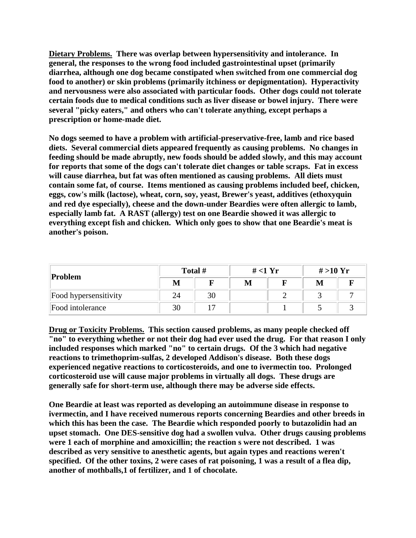**Dietary Problems. There was overlap between hypersensitivity and intolerance. In general, the responses to the wrong food included gastrointestinal upset (primarily diarrhea, although one dog became constipated when switched from one commercial dog food to another) or skin problems (primarily itchiness or depigmentation). Hyperactivity and nervousness were also associated with particular foods. Other dogs could not tolerate certain foods due to medical conditions such as liver disease or bowel injury. There were several "picky eaters," and others who can't tolerate anything, except perhaps a prescription or home-made diet.**

**No dogs seemed to have a problem with artificial-preservative-free, lamb and rice based diets. Several commercial diets appeared frequently as causing problems. No changes in feeding should be made abruptly, new foods should be added slowly, and this may account for reports that some of the dogs can't tolerate diet changes or table scraps. Fat in excess will cause diarrhea, but fat was often mentioned as causing problems. All diets must contain some fat, of course. Items mentioned as causing problems included beef, chicken, eggs, cow's milk (lactose), wheat, corn, soy, yeast, Brewer's yeast, additives (ethoxyquin and red dye especially), cheese and the down-under Beardies were often allergic to lamb, especially lamb fat. A RAST (allergy) test on one Beardie showed it was allergic to everything except fish and chicken. Which only goes to show that one Beardie's meat is another's poison.**

| Problem               | Total # |    | # $<$ 1 Yr |  | # > 10 Yr |  |
|-----------------------|---------|----|------------|--|-----------|--|
|                       | M       |    | M          |  | M         |  |
| Food hypersensitivity | 24      | 30 |            |  |           |  |
| Food intolerance      | 30      |    |            |  |           |  |

**Drug or Toxicity Problems. This section caused problems, as many people checked off "no" to everything whether or not their dog had ever used the drug. For that reason I only included responses which marked "no" to certain drugs. Of the 3 which had negative reactions to trimethoprim-sulfas, 2 developed Addison's disease. Both these dogs experienced negative reactions to corticosteroids, and one to ivermectin too. Prolonged corticosteroid use will cause major problems in virtually all dogs. These drugs are generally safe for short-term use, although there may be adverse side effects.**

**One Beardie at least was reported as developing an autoimmune disease in response to ivermectin, and I have received numerous reports concerning Beardies and other breeds in which this has been the case. The Beardie which responded poorly to butazolidin had an upset stomach. One DES-sensitive dog had a swollen vulva. Other drugs causing problems were 1 each of morphine and amoxicillin; the reaction s were not described. 1 was described as very sensitive to anesthetic agents, but again types and reactions weren't specified. Of the other toxins, 2 were cases of rat poisoning, 1 was a result of a flea dip, another of mothballs,1 of fertilizer, and 1 of chocolate.**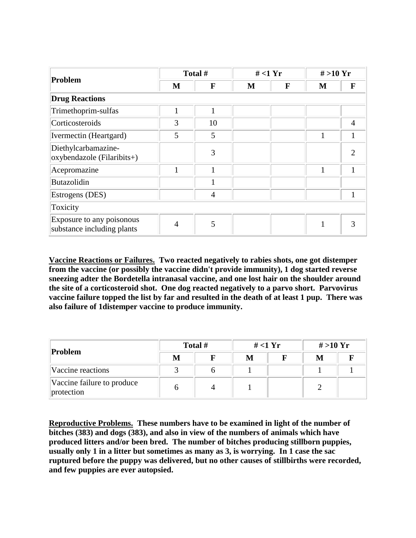| Problem                                                 | Total # |                | $#$ <1 Yr |   | $# > 10$ Yr  |   |  |  |
|---------------------------------------------------------|---------|----------------|-----------|---|--------------|---|--|--|
|                                                         | M       | F              | M         | F | M            | F |  |  |
| <b>Drug Reactions</b>                                   |         |                |           |   |              |   |  |  |
| Trimethoprim-sulfas                                     | 1       | 1              |           |   |              |   |  |  |
| Corticosteroids                                         | 3       | 10             |           |   |              | 4 |  |  |
| Ivermectin (Heartgard)                                  | 5       | 5              |           |   | 1            |   |  |  |
| Diethylcarbamazine-<br>oxybendazole (Filaribits+)       |         | 3              |           |   |              |   |  |  |
| Acepromazine                                            | 1       | 1              |           |   | $\mathbf{1}$ |   |  |  |
| <b>Butazolidin</b>                                      |         | 1              |           |   |              |   |  |  |
| Estrogens (DES)                                         |         | $\overline{4}$ |           |   |              |   |  |  |
| Toxicity                                                |         |                |           |   |              |   |  |  |
| Exposure to any poisonous<br>substance including plants | 4       | 5              |           |   |              |   |  |  |

**Vaccine Reactions or Failures. Two reacted negatively to rabies shots, one got distemper from the vaccine (or possibly the vaccine didn't provide immunity), 1 dog started reverse sneezing adter the Bordetella intranasal vaccine, and one lost hair on the shoulder around the site of a corticosteroid shot. One dog reacted negatively to a parvo short. Parvovirus vaccine failure topped the list by far and resulted in the death of at least 1 pup. There was also failure of 1distemper vaccine to produce immunity.**

| Problem                                  | Total # |  | $#$ <1 Yr |  | # > 10 Yr |  |
|------------------------------------------|---------|--|-----------|--|-----------|--|
|                                          | M       |  | M         |  | М         |  |
| Vaccine reactions                        |         |  |           |  |           |  |
| Vaccine failure to produce<br>protection |         |  |           |  |           |  |

**Reproductive Problems. These numbers have to be examined in light of the number of bitches (383) and dogs (383), and also in view of the numbers of animals which have produced litters and/or been bred. The number of bitches producing stillborn puppies, usually only 1 in a litter but sometimes as many as 3, is worrying. In 1 case the sac ruptured before the puppy was delivered, but no other causes of stillbirths were recorded, and few puppies are ever autopsied.**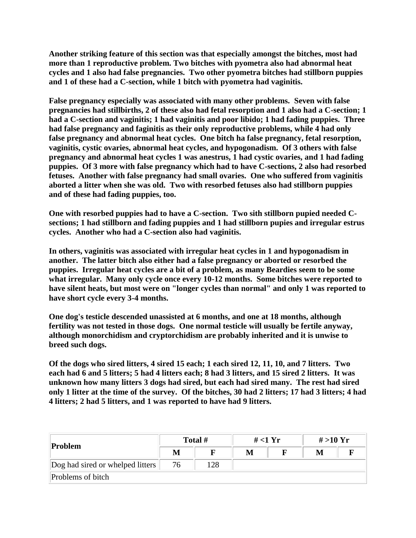**Another striking feature of this section was that especially amongst the bitches, most had more than 1 reproductive problem. Two bitches with pyometra also had abnormal heat cycles and 1 also had false pregnancies. Two other pyometra bitches had stillborn puppies and 1 of these had a C-section, while 1 bitch with pyometra had vaginitis.** 

**False pregnancy especially was associated with many other problems. Seven with false pregnancies had stillbirths, 2 of these also had fetal resorption and 1 also had a C-section; 1 had a C-section and vaginitis; 1 had vaginitis and poor libido; 1 had fading puppies. Three had false pregnancy and faginitis as their only reproductive problems, while 4 had only false pregnancy and abnormal heat cycles. One bitch ha false pregnancy, fetal resorption, vaginitis, cystic ovaries, abnormal heat cycles, and hypogonadism. Of 3 others with false pregnancy and abnormal heat cycles 1 was anestrus, 1 had cystic ovaries, and 1 had fading puppies. Of 3 more with false pregnancy which had to have C-sections, 2 also had resorbed fetuses. Another with false pregnancy had small ovaries. One who suffered from vaginitis aborted a litter when she was old. Two with resorbed fetuses also had stillborn puppies and of these had fading puppies, too.**

**One with resorbed puppies had to have a C-section. Two sith stillborn pupied needed Csections; 1 had stillborn and fading puppies and 1 had stillborn pupies and irregular estrus cycles. Another who had a C-section also had vaginitis.**

**In others, vaginitis was associated with irregular heat cycles in 1 and hypogonadism in another. The latter bitch also either had a false pregnancy or aborted or resorbed the puppies. Irregular heat cycles are a bit of a problem, as many Beardies seem to be some what irregular. Many only cycle once every 10-12 months. Some bitches were reported to have silent heats, but most were on "longer cycles than normal" and only 1 was reported to have short cycle every 3-4 months.**

**One dog's testicle descended unassisted at 6 months, and one at 18 months, although fertility was not tested in those dogs. One normal testicle will usually be fertile anyway, although monorchidism and cryptorchidism are probably inherited and it is unwise to breed such dogs.**

**Of the dogs who sired litters, 4 sired 15 each; 1 each sired 12, 11, 10, and 7 litters. Two each had 6 and 5 litters; 5 had 4 litters each; 8 had 3 litters, and 15 sired 2 litters. It was unknown how many litters 3 dogs had sired, but each had sired many. The rest had sired only 1 litter at the time of the survey. Of the bitches, 30 had 2 litters; 17 had 3 litters; 4 had 4 litters; 2 had 5 litters, and 1 was reported to have had 9 litters.**

| Problem                          | Total # |     | # $<$ 1 Yr |  | # > 10 Yr |  |
|----------------------------------|---------|-----|------------|--|-----------|--|
|                                  | M       |     | М          |  |           |  |
| Dog had sired or whelped litters | 76      | 128 |            |  |           |  |
| Problems of bitch                |         |     |            |  |           |  |